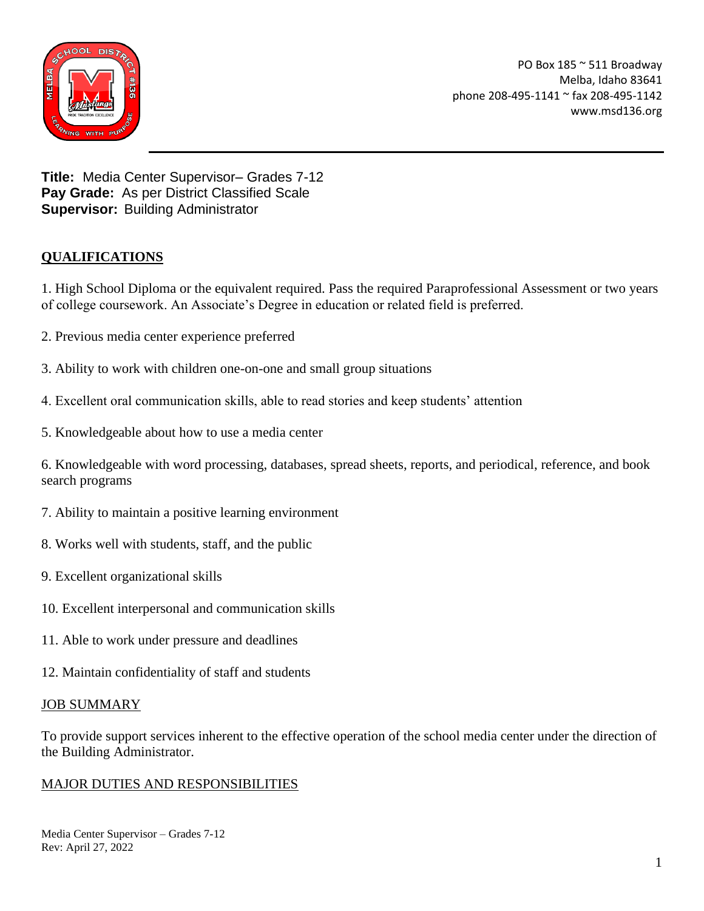

PO Box 185 ~ 511 Broadway Melba, Idaho 83641 phone 208-495-1141 ~ fax 208-495-1142 www.msd136.org

**Title:** Media Center Supervisor– Grades 7-12 **Pay Grade:** As per District Classified Scale **Supervisor:** Building Administrator

# **QUALIFICATIONS**

1. High School Diploma or the equivalent required. Pass the required Paraprofessional Assessment or two years of college coursework. An Associate's Degree in education or related field is preferred.

- 2. Previous media center experience preferred
- 3. Ability to work with children one-on-one and small group situations
- 4. Excellent oral communication skills, able to read stories and keep students' attention
- 5. Knowledgeable about how to use a media center

6. Knowledgeable with word processing, databases, spread sheets, reports, and periodical, reference, and book search programs

- 7. Ability to maintain a positive learning environment
- 8. Works well with students, staff, and the public
- 9. Excellent organizational skills
- 10. Excellent interpersonal and communication skills
- 11. Able to work under pressure and deadlines
- 12. Maintain confidentiality of staff and students

#### JOB SUMMARY

To provide support services inherent to the effective operation of the school media center under the direction of the Building Administrator.

## MAJOR DUTIES AND RESPONSIBILITIES

Media Center Supervisor – Grades 7-12 Rev: April 27, 2022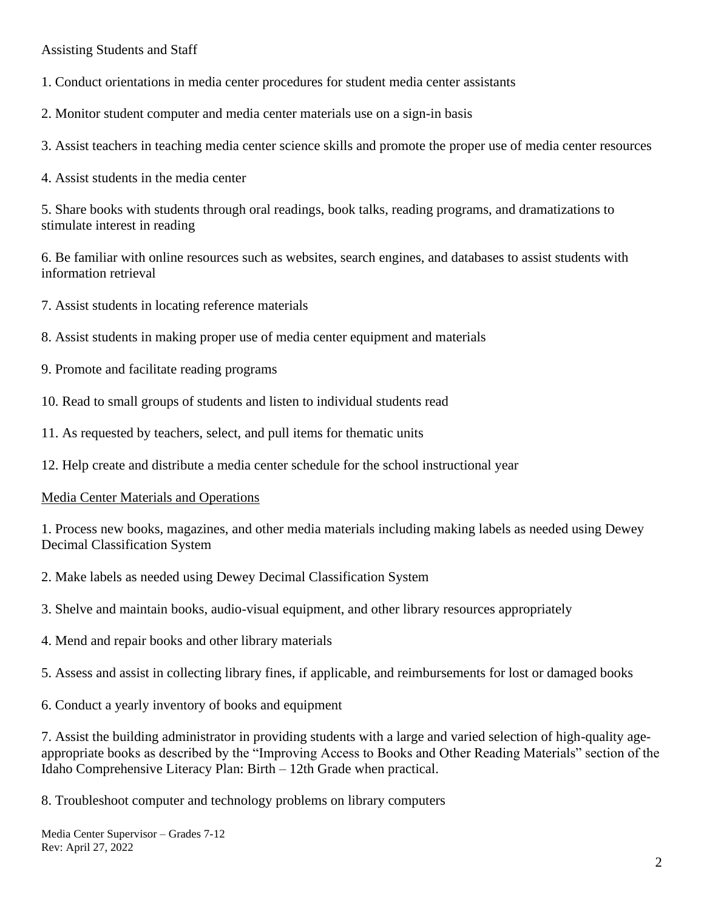Assisting Students and Staff

- 1. Conduct orientations in media center procedures for student media center assistants
- 2. Monitor student computer and media center materials use on a sign-in basis
- 3. Assist teachers in teaching media center science skills and promote the proper use of media center resources
- 4. Assist students in the media center

5. Share books with students through oral readings, book talks, reading programs, and dramatizations to stimulate interest in reading

6. Be familiar with online resources such as websites, search engines, and databases to assist students with information retrieval

- 7. Assist students in locating reference materials
- 8. Assist students in making proper use of media center equipment and materials
- 9. Promote and facilitate reading programs
- 10. Read to small groups of students and listen to individual students read
- 11. As requested by teachers, select, and pull items for thematic units
- 12. Help create and distribute a media center schedule for the school instructional year

## Media Center Materials and Operations

1. Process new books, magazines, and other media materials including making labels as needed using Dewey Decimal Classification System

2. Make labels as needed using Dewey Decimal Classification System

- 3. Shelve and maintain books, audio-visual equipment, and other library resources appropriately
- 4. Mend and repair books and other library materials
- 5. Assess and assist in collecting library fines, if applicable, and reimbursements for lost or damaged books
- 6. Conduct a yearly inventory of books and equipment

7. Assist the building administrator in providing students with a large and varied selection of high-quality ageappropriate books as described by the "Improving Access to Books and Other Reading Materials" section of the Idaho Comprehensive Literacy Plan: Birth – 12th Grade when practical.

8. Troubleshoot computer and technology problems on library computers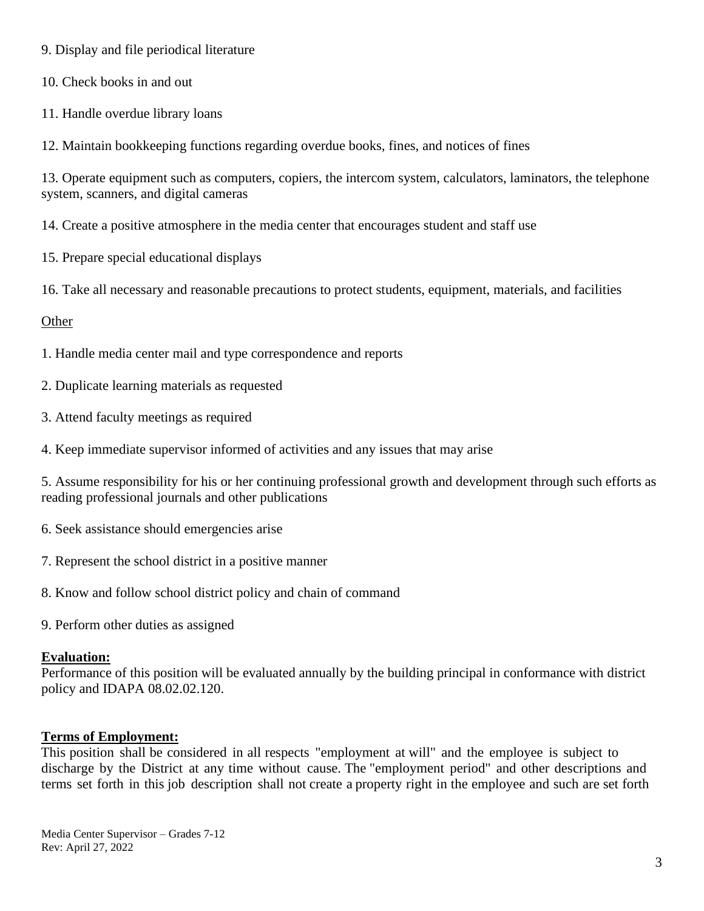9. Display and file periodical literature

10. Check books in and out

11. Handle overdue library loans

12. Maintain bookkeeping functions regarding overdue books, fines, and notices of fines

13. Operate equipment such as computers, copiers, the intercom system, calculators, laminators, the telephone system, scanners, and digital cameras

14. Create a positive atmosphere in the media center that encourages student and staff use

- 15. Prepare special educational displays
- 16. Take all necessary and reasonable precautions to protect students, equipment, materials, and facilities

#### **Other**

- 1. Handle media center mail and type correspondence and reports
- 2. Duplicate learning materials as requested
- 3. Attend faculty meetings as required
- 4. Keep immediate supervisor informed of activities and any issues that may arise

5. Assume responsibility for his or her continuing professional growth and development through such efforts as reading professional journals and other publications

- 6. Seek assistance should emergencies arise
- 7. Represent the school district in a positive manner
- 8. Know and follow school district policy and chain of command
- 9. Perform other duties as assigned

#### **Evaluation:**

Performance of this position will be evaluated annually by the building principal in conformance with district policy and IDAPA 08.02.02.120.

#### **Terms of Employment:**

This position shall be considered in all respects "employment at will" and the employee is subject to discharge by the District at any time without cause. The "employment period" and other descriptions and terms set forth in this job description shall not create a property right in the employee and such are set forth